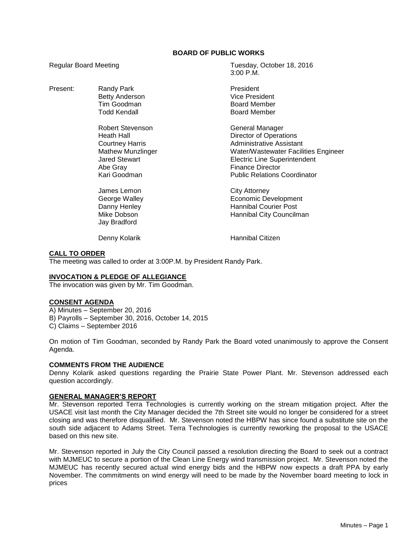## **BOARD OF PUBLIC WORKS**

Present: Randy Park **President** 

Robert Stevenson General Manager Abe Gray **Finance Director** 

James Lemon City Attorney Jay Bradford

Regular Board Meeting Tuesday, October 18, 2016 3:00 P.M.

> Betty Anderson **Vice President**<br>
> Tim Goodman **Vice President**<br>
> Board Member Board Member Todd Kendall **Board Member**

Heath Hall **Hall** Director of Operations Courtney Harris **Administrative Assistant** Mathew Munzlinger Water/Wastewater Facilities Engineer Jared Stewart Electric Line Superintendent Kari Goodman Public Relations Coordinator

George Walley **Example 20** Economic Development Danny Henley **Hannibal Courier Post** Mike Dobson **Hannibal City Councilman** 

Denny Kolarik **Hannibal Citizen** 

## **CALL TO ORDER**

The meeting was called to order at 3:00P.M. by President Randy Park.

## **INVOCATION & PLEDGE OF ALLEGIANCE**

The invocation was given by Mr. Tim Goodman.

#### **CONSENT AGENDA**

A) Minutes – September 20, 2016 B) Payrolls – September 30, 2016, October 14, 2015 C) Claims – September 2016

On motion of Tim Goodman, seconded by Randy Park the Board voted unanimously to approve the Consent Agenda.

#### **COMMENTS FROM THE AUDIENCE**

Denny Kolarik asked questions regarding the Prairie State Power Plant. Mr. Stevenson addressed each question accordingly.

#### **GENERAL MANAGER'S REPORT**

Mr. Stevenson reported Terra Technologies is currently working on the stream mitigation project. After the USACE visit last month the City Manager decided the 7th Street site would no longer be considered for a street closing and was therefore disqualified. Mr. Stevenson noted the HBPW has since found a substitute site on the south side adjacent to Adams Street. Terra Technologies is currently reworking the proposal to the USACE based on this new site.

Mr. Stevenson reported in July the City Council passed a resolution directing the Board to seek out a contract with MJMEUC to secure a portion of the Clean Line Energy wind transmission project. Mr. Stevenson noted the MJMEUC has recently secured actual wind energy bids and the HBPW now expects a draft PPA by early November. The commitments on wind energy will need to be made by the November board meeting to lock in prices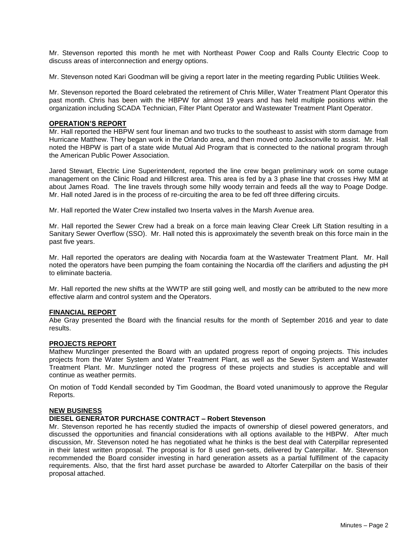Mr. Stevenson reported this month he met with Northeast Power Coop and Ralls County Electric Coop to discuss areas of interconnection and energy options.

Mr. Stevenson noted Kari Goodman will be giving a report later in the meeting regarding Public Utilities Week.

Mr. Stevenson reported the Board celebrated the retirement of Chris Miller, Water Treatment Plant Operator this past month. Chris has been with the HBPW for almost 19 years and has held multiple positions within the organization including SCADA Technician, Filter Plant Operator and Wastewater Treatment Plant Operator.

#### **OPERATION'S REPORT**

Mr. Hall reported the HBPW sent four lineman and two trucks to the southeast to assist with storm damage from Hurricane Matthew. They began work in the Orlando area, and then moved onto Jacksonville to assist. Mr. Hall noted the HBPW is part of a state wide Mutual Aid Program that is connected to the national program through the American Public Power Association.

Jared Stewart, Electric Line Superintendent, reported the line crew began preliminary work on some outage management on the Clinic Road and Hillcrest area. This area is fed by a 3 phase line that crosses Hwy MM at about James Road. The line travels through some hilly woody terrain and feeds all the way to Poage Dodge. Mr. Hall noted Jared is in the process of re-circuiting the area to be fed off three differing circuits.

Mr. Hall reported the Water Crew installed two Inserta valves in the Marsh Avenue area.

Mr. Hall reported the Sewer Crew had a break on a force main leaving Clear Creek Lift Station resulting in a Sanitary Sewer Overflow (SSO). Mr. Hall noted this is approximately the seventh break on this force main in the past five years.

Mr. Hall reported the operators are dealing with Nocardia foam at the Wastewater Treatment Plant. Mr. Hall noted the operators have been pumping the foam containing the Nocardia off the clarifiers and adjusting the pH to eliminate bacteria.

Mr. Hall reported the new shifts at the WWTP are still going well, and mostly can be attributed to the new more effective alarm and control system and the Operators.

#### **FINANCIAL REPORT**

Abe Gray presented the Board with the financial results for the month of September 2016 and year to date results.

#### **PROJECTS REPORT**

Mathew Munzlinger presented the Board with an updated progress report of ongoing projects. This includes projects from the Water System and Water Treatment Plant, as well as the Sewer System and Wastewater Treatment Plant. Mr. Munzlinger noted the progress of these projects and studies is acceptable and will continue as weather permits.

On motion of Todd Kendall seconded by Tim Goodman, the Board voted unanimously to approve the Regular Reports.

#### **NEW BUSINESS**

## **DIESEL GENERATOR PURCHASE CONTRACT – Robert Stevenson**

Mr. Stevenson reported he has recently studied the impacts of ownership of diesel powered generators, and discussed the opportunities and financial considerations with all options available to the HBPW. After much discussion, Mr. Stevenson noted he has negotiated what he thinks is the best deal with Caterpillar represented in their latest written proposal. The proposal is for 8 used gen-sets, delivered by Caterpillar. Mr. Stevenson recommended the Board consider investing in hard generation assets as a partial fulfillment of the capacity requirements. Also, that the first hard asset purchase be awarded to Altorfer Caterpillar on the basis of their proposal attached.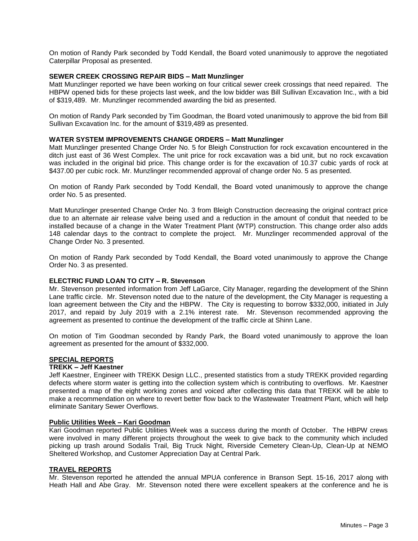On motion of Randy Park seconded by Todd Kendall, the Board voted unanimously to approve the negotiated Caterpillar Proposal as presented.

## **SEWER CREEK CROSSING REPAIR BIDS – Matt Munzlinger**

Matt Munzlinger reported we have been working on four critical sewer creek crossings that need repaired. The HBPW opened bids for these projects last week, and the low bidder was Bill Sullivan Excavation Inc., with a bid of \$319,489. Mr. Munzlinger recommended awarding the bid as presented.

On motion of Randy Park seconded by Tim Goodman, the Board voted unanimously to approve the bid from Bill Sullivan Excavation Inc. for the amount of \$319,489 as presented.

## **WATER SYSTEM IMPROVEMENTS CHANGE ORDERS – Matt Munzlinger**

Matt Munzlinger presented Change Order No. 5 for Bleigh Construction for rock excavation encountered in the ditch just east of 36 West Complex. The unit price for rock excavation was a bid unit, but no rock excavation was included in the original bid price. This change order is for the excavation of 10.37 cubic yards of rock at \$437.00 per cubic rock. Mr. Munzlinger recommended approval of change order No. 5 as presented.

On motion of Randy Park seconded by Todd Kendall, the Board voted unanimously to approve the change order No. 5 as presented.

Matt Munzlinger presented Change Order No. 3 from Bleigh Construction decreasing the original contract price due to an alternate air release valve being used and a reduction in the amount of conduit that needed to be installed because of a change in the Water Treatment Plant (WTP) construction. This change order also adds 148 calendar days to the contract to complete the project. Mr. Munzlinger recommended approval of the Change Order No. 3 presented.

On motion of Randy Park seconded by Todd Kendall, the Board voted unanimously to approve the Change Order No. 3 as presented.

## **ELECTRIC FUND LOAN TO CITY – R. Stevenson**

Mr. Stevenson presented information from Jeff LaGarce, City Manager, regarding the development of the Shinn Lane traffic circle. Mr. Stevenson noted due to the nature of the development, the City Manager is requesting a loan agreement between the City and the HBPW. The City is requesting to borrow \$332,000, initiated in July 2017, and repaid by July 2019 with a 2.1% interest rate. Mr. Stevenson recommended approving the agreement as presented to continue the development of the traffic circle at Shinn Lane.

On motion of Tim Goodman seconded by Randy Park, the Board voted unanimously to approve the loan agreement as presented for the amount of \$332,000.

#### **SPECIAL REPORTS**

#### **TREKK – Jeff Kaestner**

Jeff Kaestner, Engineer with TREKK Design LLC., presented statistics from a study TREKK provided regarding defects where storm water is getting into the collection system which is contributing to overflows. Mr. Kaestner presented a map of the eight working zones and voiced after collecting this data that TREKK will be able to make a recommendation on where to revert better flow back to the Wastewater Treatment Plant, which will help eliminate Sanitary Sewer Overflows.

## **Public Utilities Week – Kari Goodman**

Kari Goodman reported Public Utilities Week was a success during the month of October. The HBPW crews were involved in many different projects throughout the week to give back to the community which included picking up trash around Sodalis Trail, Big Truck Night, Riverside Cemetery Clean-Up, Clean-Up at NEMO Sheltered Workshop, and Customer Appreciation Day at Central Park.

## **TRAVEL REPORTS**

Mr. Stevenson reported he attended the annual MPUA conference in Branson Sept. 15-16, 2017 along with Heath Hall and Abe Gray. Mr. Stevenson noted there were excellent speakers at the conference and he is